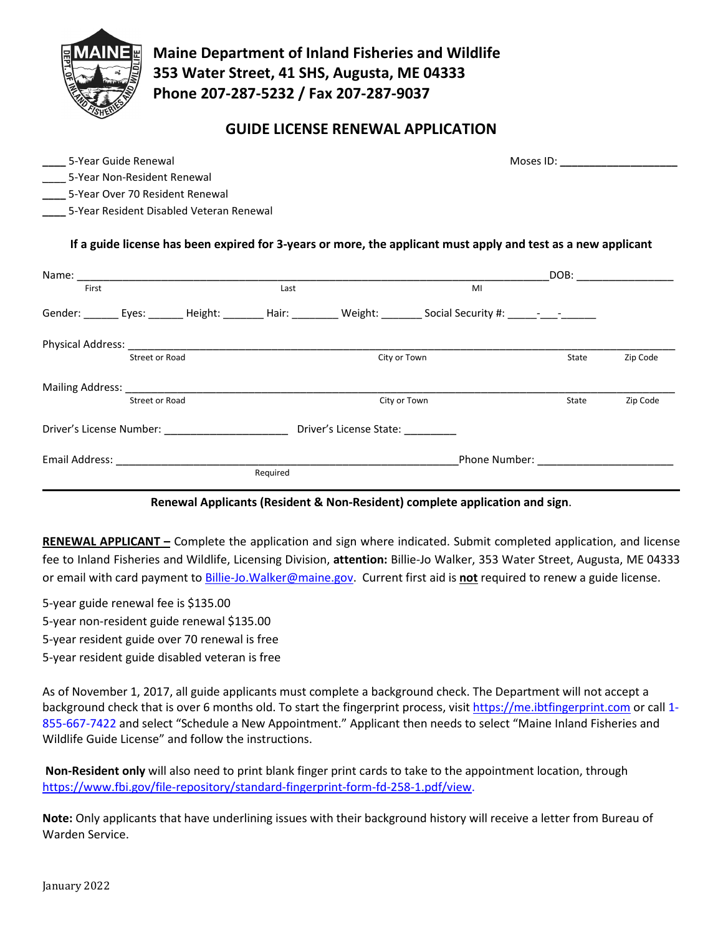

**Maine Department of Inland Fisheries and Wildlife 353 Water Street, 41 SHS, Augusta, ME 04333 Phone 207-287-5232 / Fax 207-287-9037**

## **GUIDE LICENSE RENEWAL APPLICATION**

**\_\_\_\_** 5-Year Guide Renewal Moses ID: **\_\_\_\_\_\_\_\_\_\_\_\_\_\_\_\_\_\_\_\_** 

|  |  | 5-Year Guide Renewal |
|--|--|----------------------|
|--|--|----------------------|

**\_\_\_\_** 5-Year Non-Resident Renewal

**\_\_\_\_** 5-Year Over 70 Resident Renewal

**\_\_\_\_** 5-Year Resident Disabled Veteran Renewal

### **If a guide license has been expired for 3-years or more, the applicant must apply and test as a new applicant**

| Name:                                                                                                                                                                                                                         |                |          |                         |                                                                                                                                                                                                                               | DOB:  |          |
|-------------------------------------------------------------------------------------------------------------------------------------------------------------------------------------------------------------------------------|----------------|----------|-------------------------|-------------------------------------------------------------------------------------------------------------------------------------------------------------------------------------------------------------------------------|-------|----------|
| First                                                                                                                                                                                                                         |                | Last     |                         | MI                                                                                                                                                                                                                            |       |          |
| Gender: Eyes: Height:                                                                                                                                                                                                         |                |          |                         | Hair: Weight: Social Security #: 1990 - 1991                                                                                                                                                                                  |       |          |
| Physical Address: National Address: National Address: National Address: National Address: National Address of A                                                                                                               |                |          |                         |                                                                                                                                                                                                                               |       |          |
|                                                                                                                                                                                                                               | Street or Road |          | City or Town            |                                                                                                                                                                                                                               | State | Zip Code |
| Mailing Address: National Address and the Mailing Address and the Mail of the Mail of the Mail of the Mail of the Mail of the Mail of the Mail of the Mail of the Mail of the Mail of the Mail of the Mail of the Mail of the |                |          |                         |                                                                                                                                                                                                                               |       |          |
|                                                                                                                                                                                                                               | Street or Road |          |                         | City or Town                                                                                                                                                                                                                  | State | Zip Code |
| Driver's License Number:                                                                                                                                                                                                      |                |          | Driver's License State: |                                                                                                                                                                                                                               |       |          |
| Email Address:                                                                                                                                                                                                                |                |          |                         | Phone Number: The Contract of the Contract of the Contract of the Contract of the Contract of the Contract of the Contract of the Contract of the Contract of the Contract of the Contract of the Contract of the Contract of |       |          |
|                                                                                                                                                                                                                               |                | Required |                         |                                                                                                                                                                                                                               |       |          |

#### **Renewal Applicants (Resident & Non-Resident) complete application and sign**.

**RENEWAL APPLICANT –** Complete the application and sign where indicated. Submit completed application, and license fee to Inland Fisheries and Wildlife, Licensing Division, **attention:** Billie-Jo Walker, 353 Water Street, Augusta, ME 04333 or email with card payment to [Billie-Jo.Walker@maine.gov.](mailto:Billie-Jo.Walker@maine.gov) Current first aid is **not** required to renew a guide license.

5-year guide renewal fee is \$135.00

5-year non-resident guide renewal \$135.00

5-year resident guide over 70 renewal is free

5-year resident guide disabled veteran is free

As of November 1, 2017, all guide applicants must complete a background check. The Department will not accept a background check that is over 6 months old. To start the fingerprint process, visi[t https://me.ibtfingerprint.com](https://me.ibtfingerprint.com/) or call 1-855-667-7422 and select "Schedule a New Appointment." Applicant then needs to select "Maine Inland Fisheries and Wildlife Guide License" and follow the instructions.

**Non-Resident only** will also need to print blank finger print cards to take to the appointment location, through [https://www.fbi.gov/file-repository/standard-fingerprint-form-fd-258-1.pdf/view.](https://na01.safelinks.protection.outlook.com/?url=https%3A%2F%2Fwww.fbi.gov%2Ffile-repository%2Fstandard-fingerprint-form-fd-258-1.pdf%2Fview&data=02%7C01%7Cchristl.f.theriault%40maine.gov%7Cc138052fdc5443040b6d08d661d96e13%7C413fa8ab207d4b629bcdea1a8f2f864e%7C0%7C1%7C636803983819558578&sdata=B5b2CgSqF8v1eXzM6CH6qECU0DyYrBvUL%2Flv8rsgHEE%3D&reserved=0)

**Note:** Only applicants that have underlining issues with their background history will receive a letter from Bureau of Warden Service.